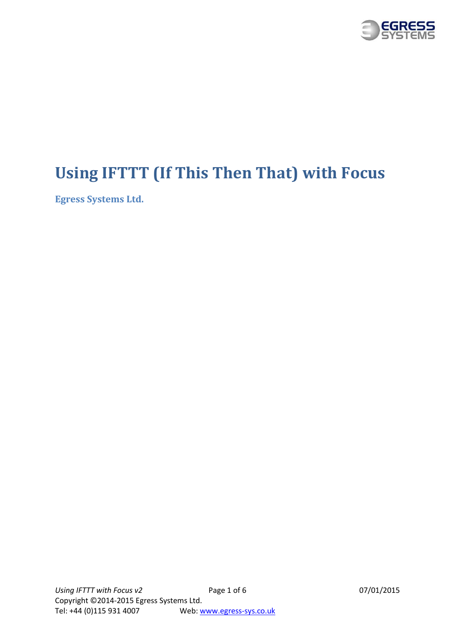

# <span id="page-0-0"></span>**Using IFTTT (If This Then That) with Focus**

<span id="page-0-1"></span>**Egress Systems Ltd.**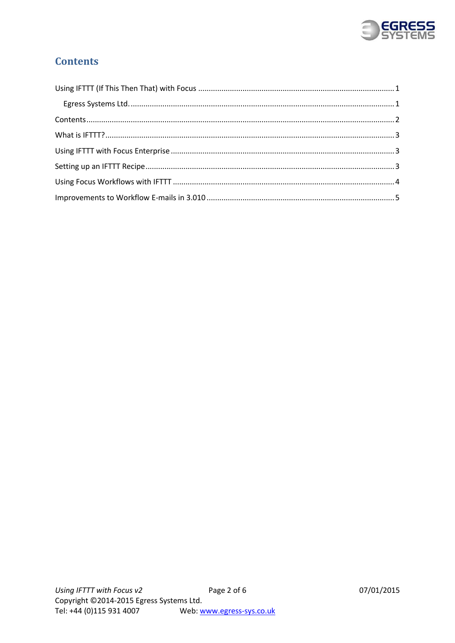

## <span id="page-1-0"></span>**Contents**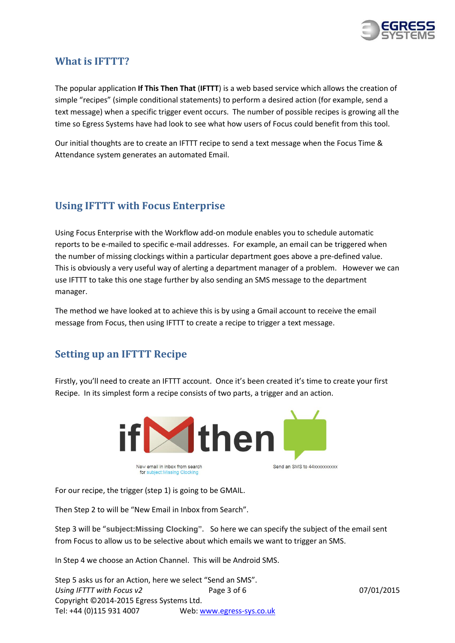

### <span id="page-2-0"></span>**What is IFTTT?**

The popular application **If This Then That** (**IFTTT**) is a web based service which allows the creation of simple "recipes" (simple conditional statements) to perform a desired action (for example, send a text message) when a specific trigger event occurs. The number of possible recipes is growing all the time so Egress Systems have had look to see what how users of Focus could benefit from this tool.

Our initial thoughts are to create an IFTTT recipe to send a text message when the Focus Time & Attendance system generates an automated Email.

## <span id="page-2-1"></span>**Using IFTTT with Focus Enterprise**

Using Focus Enterprise with the Workflow add-on module enables you to schedule automatic reports to be e-mailed to specific e-mail addresses. For example, an email can be triggered when the number of missing clockings within a particular department goes above a pre-defined value. This is obviously a very useful way of alerting a department manager of a problem. However we can use IFTTT to take this one stage further by also sending an SMS message to the department manager.

The method we have looked at to achieve this is by using a Gmail account to receive the email message from Focus, then using IFTTT to create a recipe to trigger a text message.

### <span id="page-2-2"></span>**Setting up an IFTTT Recipe**

Firstly, you'll need to create an IFTTT account. Once it's been created it's time to create your first Recipe. In its simplest form a recipe consists of two parts, a trigger and an action.



For our recipe, the trigger (step 1) is going to be GMAIL.

Then Step 2 to will be "New Email in Inbox from Search".

Step 3 will be "**subject:Missing Clocking".** So here we can specify the subject of the email sent from Focus to allow us to be selective about which emails we want to trigger an SMS.

In Step 4 we choose an Action Channel. This will be Android SMS.

*Using IFTTT with Focus v2* Page 3 of 6 07/01/2015 Copyright ©2014-2015 Egress Systems Ltd. Tel: +44 (0)115 931 4007 Web[: www.egress-sys.co.uk](http://www.egress-sys.co.uk/) Step 5 asks us for an Action, here we select "Send an SMS".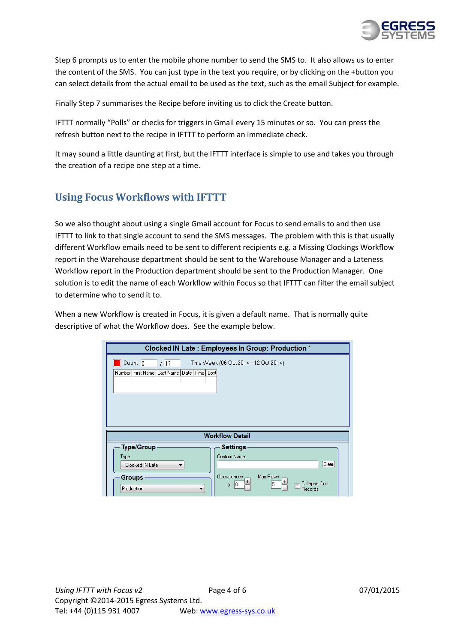

Step 6 prompts us to enter the mobile phone number to send the SMS to. It also allows us to enter the content of the SMS. You can just type in the text you require, or by clicking on the +button you can select details from the actual email to be used as the text, such as the email Subject for example.

Finally Step 7 summarises the Recipe before inviting us to click the Create button.

IFTTT normally "Polls" or checks for triggers in Gmail every 15 minutes or so. You can press the refresh button next to the recipe in IFTTT to perform an immediate check.

It may sound a little daunting at first, but the IFTTT interface is simple to use and takes you through the creation of a recipe one step at a time.

## <span id="page-3-0"></span>**Using Focus Workflows with IFTTT**

So we also thought about using a single Gmail account for Focus to send emails to and then use IFTTT to link to that single account to send the SMS messages. The problem with this is that usually different Workflow emails need to be sent to different recipients e.g. a Missing Clockings Workflow report in the Warehouse department should be sent to the Warehouse Manager and a Lateness Workflow report in the Production department should be sent to the Production Manager. One solution is to edit the name of each Workflow within Focus so that IFTTT can filter the email subject to determine who to send it to.

When a new Workflow is created in Focus, it is given a default name. That is normally quite descriptive of what the Workflow does. See the example below.

| Clocked IN Late: Employees In Group: Production *                  |                                                                                              |  |
|--------------------------------------------------------------------|----------------------------------------------------------------------------------------------|--|
| This Week (06 Oct 2014 - 12 Oct 2014)<br>Count <sub>0</sub><br>117 |                                                                                              |  |
| Number   First Name   Last Name   Date   Time   Lost               |                                                                                              |  |
| <b>Workflow Detail</b>                                             |                                                                                              |  |
| <b>Type/Group</b>                                                  | <b>Settings</b>                                                                              |  |
| Type                                                               | Custom Name:                                                                                 |  |
| Clocked IN Late<br>▼                                               | Clear                                                                                        |  |
| Groups⊹<br>Production<br>▼                                         | Max Rows<br><b>Occurrences</b><br>$\pm$<br>$\pm$<br>Collapse if no<br>5<br>$>$ 10<br>Records |  |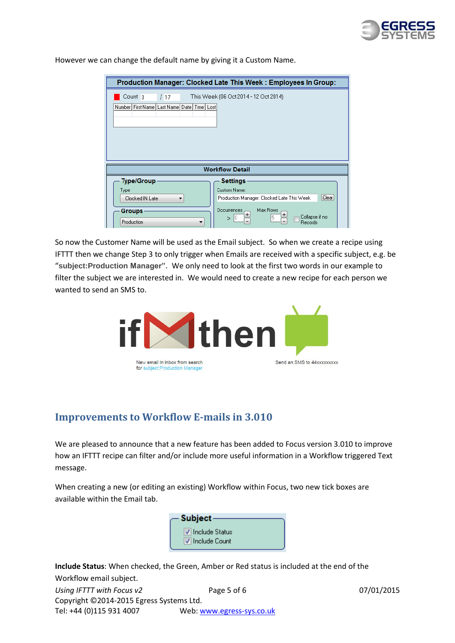

Production Manager: Clocked Late This Week: Employees In Group:  $\Box$  Count  $\Box$ This Week (06 Oct 2014 - 12 Oct 2014)  $\sqrt{17}$ Number First Name | Last Name | Date | Time | Lost **Workflow Detail Type/Group Settings** Custom Name: Type Production Manager: Clocked Late This Week Clocked IN Late  $Cear$  $\blacktriangledown$  $\frac{0 \text{c}$  courrences Max Rows **Groups**  $[+]$ Collapse if no  $>$   $|0|$ Ē Production Records

However we can change the default name by giving it a Custom Name.

So now the Customer Name will be used as the Email subject. So when we create a recipe using IFTTT then we change Step 3 to only trigger when Emails are received with a specific subject, e.g. be "**subject:Production Manager".** We only need to look at the first two words in our example to filter the subject we are interested in. We would need to create a new recipe for each person we wanted to send an SMS to.



### <span id="page-4-0"></span>**Improvements to Workflow E-mails in 3.010**

We are pleased to announce that a new feature has been added to Focus version 3.010 to improve how an IFTTT recipe can filter and/or include more useful information in a Workflow triggered Text message.

When creating a new (or editing an existing) Workflow within Focus, two new tick boxes are available within the Email tab.



**Include Status**: When checked, the Green, Amber or Red status is included at the end of the Workflow email subject.